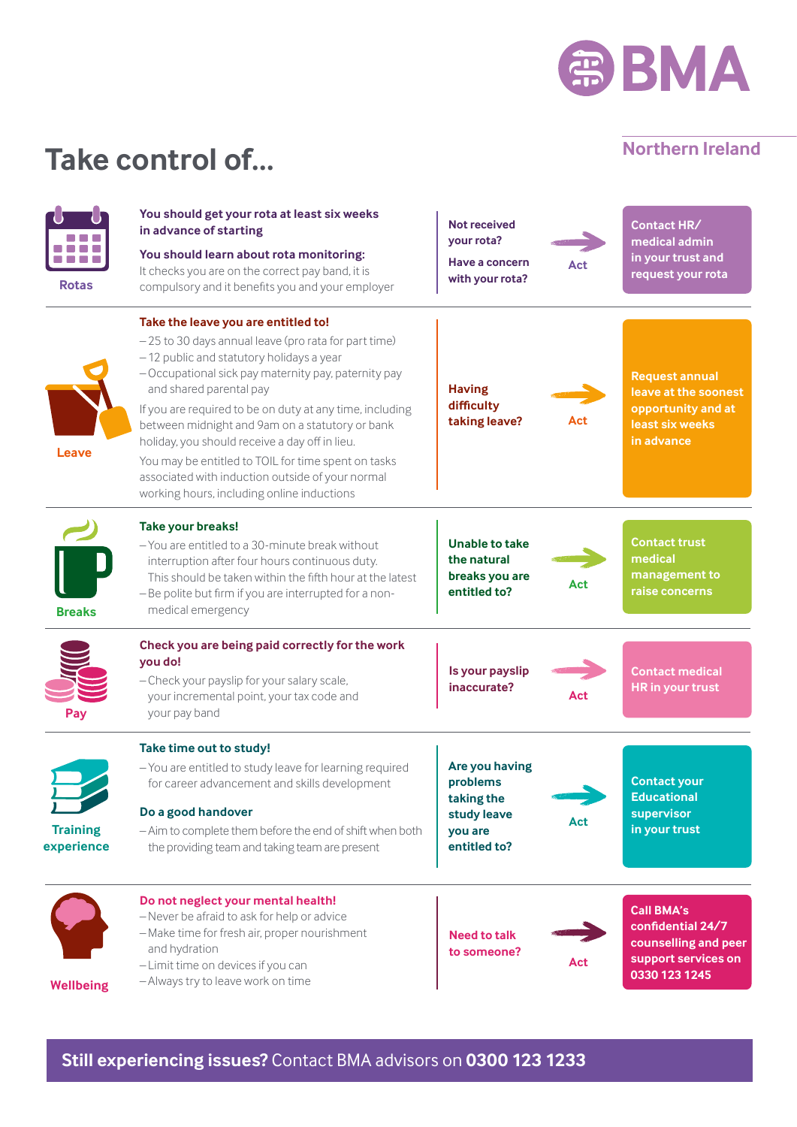

### **Northern Ireland**

## **Take control of...**

| <b>Rotas</b>                  | You should get your rota at least six weeks<br>in advance of starting<br>You should learn about rota monitoring:<br>It checks you are on the correct pay band, it is<br>compulsory and it benefits you and your employer                                                                                                                                                                                                                                                                                                                             | <b>Not received</b><br>your rota?<br>Have a concern<br>with your rota?             | Act | Contact HR/<br>medical admin<br>in your trust and<br>request your rota                                 |
|-------------------------------|------------------------------------------------------------------------------------------------------------------------------------------------------------------------------------------------------------------------------------------------------------------------------------------------------------------------------------------------------------------------------------------------------------------------------------------------------------------------------------------------------------------------------------------------------|------------------------------------------------------------------------------------|-----|--------------------------------------------------------------------------------------------------------|
| Leave                         | Take the leave you are entitled to!<br>-25 to 30 days annual leave (pro rata for part time)<br>-12 public and statutory holidays a year<br>- Occupational sick pay maternity pay, paternity pay<br>and shared parental pay<br>If you are required to be on duty at any time, including<br>between midnight and 9am on a statutory or bank<br>holiday, you should receive a day off in lieu.<br>You may be entitled to TOIL for time spent on tasks<br>associated with induction outside of your normal<br>working hours, including online inductions | <b>Having</b><br>difficulty<br>taking leave?                                       | Act | <b>Request annual</b><br>leave at the soonest<br>opportunity and at<br>least six weeks<br>in advance   |
| <b>Breaks</b>                 | Take your breaks!<br>- You are entitled to a 30-minute break without<br>interruption after four hours continuous duty.<br>This should be taken within the fifth hour at the latest<br>- Be polite but firm if you are interrupted for a non-<br>medical emergency                                                                                                                                                                                                                                                                                    | <b>Unable to take</b><br>the natural<br>breaks you are<br>entitled to?             | Act | <b>Contact trust</b><br>medical<br>management to<br>raise concerns                                     |
| Pay                           | Check you are being paid correctly for the work<br>you do!<br>- Check your payslip for your salary scale,<br>your incremental point, your tax code and<br>your pay band                                                                                                                                                                                                                                                                                                                                                                              | Is your payslip<br>inaccurate?                                                     | Act | <b>Contact medical</b><br>HR in your trust                                                             |
| <b>Training</b><br>experience | Take time out to study!<br>- You are entitled to study leave for learning required<br>for career advancement and skills development<br>Do a good handover<br>- Aim to complete them before the end of shift when both<br>the providing team and taking team are present                                                                                                                                                                                                                                                                              | Are you having<br>problems<br>taking the<br>study leave<br>you are<br>entitled to? | Act | <b>Contact your</b><br><b>Educational</b><br>supervisor<br>in your trust                               |
| <b>Wellbeing</b>              | Do not neglect your mental health!<br>-Never be afraid to ask for help or advice<br>-Make time for fresh air, proper nourishment<br>and hydration<br>- Limit time on devices if you can<br>-Always try to leave work on time                                                                                                                                                                                                                                                                                                                         | <b>Need to talk</b><br>to someone?                                                 | Act | <b>Call BMA's</b><br>confidential 24/7<br>counselling and peer<br>support services on<br>0330 123 1245 |